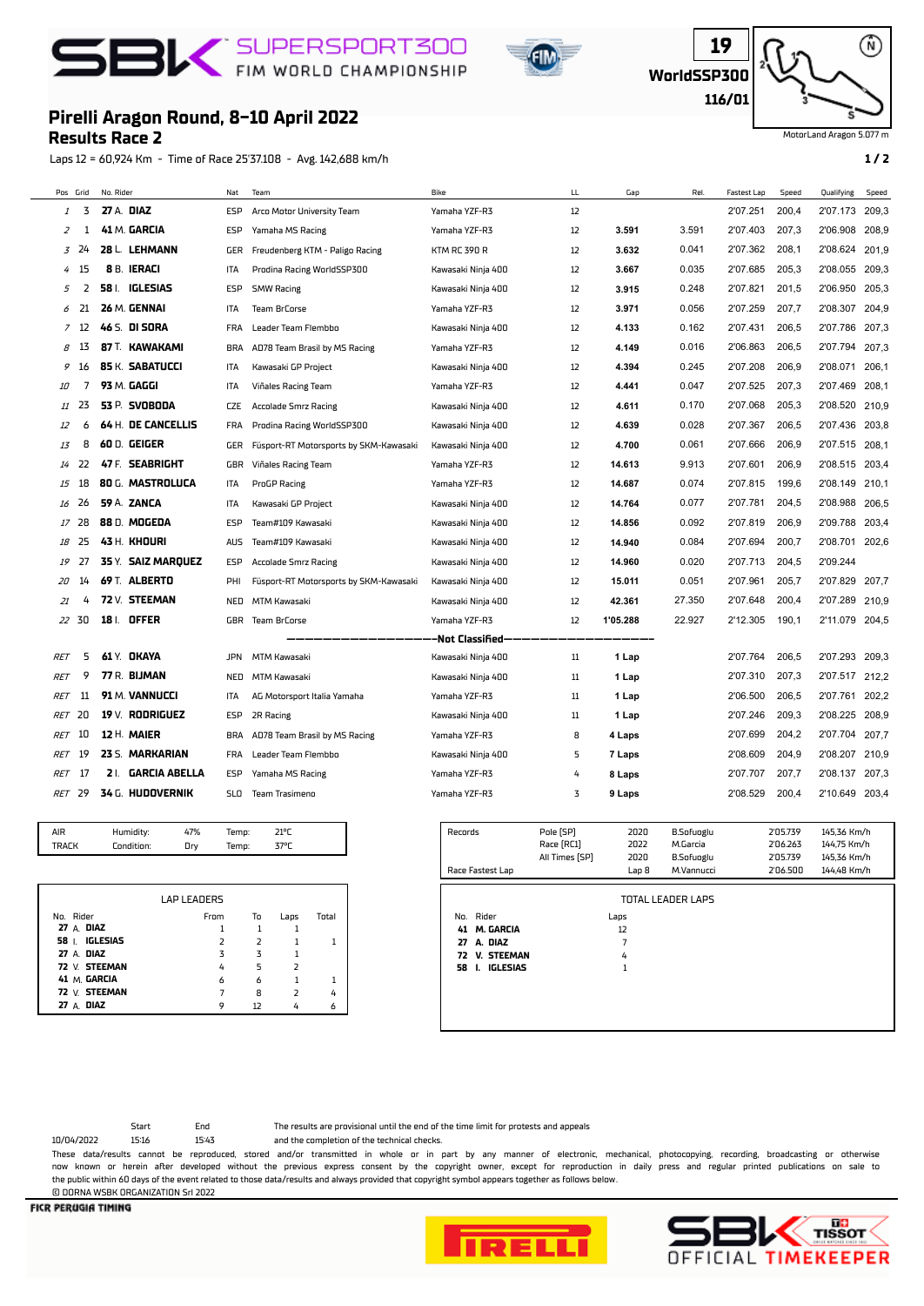## **BIC** SUPERSPORT300





⋒

MotorLand Aragon 5.077 m

## **Pirelli Aragon Round, 8-10 April 2022**

**Results Race 2**

Laps 12 = 60,924 Km - Time of Race 25'37.108 - Avg. 142,688 km/h **1 / 2**

| Pos Grid   |                  | No. Rider  |                      | Nat        | Team                                   | Bike                | LL.               | Gap      | Rel.   | Fastest Lap | Speed | Qualifying | Speed |
|------------|------------------|------------|----------------------|------------|----------------------------------------|---------------------|-------------------|----------|--------|-------------|-------|------------|-------|
| 1          | 3                | 27 A. DIAZ |                      | ESP        | Arco Motor University Team             | Yamaha YZF-R3       | 12                |          |        | 2'07.251    | 200,4 | 2'07.173   | 209,3 |
| 2          | 1                |            | 41 M. GARCIA         | ESP        | Yamaha MS Racing                       | Yamaha YZF-R3       | 12                | 3.591    | 3.591  | 2'07.403    | 207,3 | 2'06.908   | 208,9 |
| 3          | 24               |            | 28 L. LEHMANN        | GER        | Freudenberg KTM - Paligo Racing        | <b>KTM RC 390 R</b> | 12                | 3.632    | 0.041  | 2'07.362    | 208,1 | 2'08.624   | 201,9 |
| 4          | 15               |            | 8 B. IERACI          | <b>ITA</b> | Prodina Racing WorldSSP300             | Kawasaki Ninja 400  | 12                | 3.667    | 0.035  | 2'07.685    | 205,3 | 2'08.055   | 209.3 |
| 5          | 2                |            | 58 I. IGLESIAS       | ESP        | <b>SMW Racing</b>                      | Kawasaki Ninja 400  | 12                | 3.915    | 0.248  | 2'07.821    | 201,5 | 2'06.950   | 205,3 |
|            | 21               |            | 26 M. GENNAI         | <b>ITA</b> | Team BrCorse                           | Yamaha YZF-R3       | 12                | 3.971    | 0.056  | 2'07.259    | 207,7 | 2'08.307   | 204.9 |
|            | 7 12             |            | 46 S. DI <b>SORA</b> | <b>FRA</b> | Leader Team Flembbo                    | Kawasaki Ninja 400  | 12                | 4.133    | 0.162  | 2'07.431    | 206,5 | 2'07.786   | 207,3 |
| 8          | 13               |            | 87 T. KAWAKAMI       | <b>BRA</b> | AD78 Team Brasil by MS Racing          | Yamaha YZF-R3       | 12                | 4.149    | 0.016  | 2'06.863    | 206,5 | 2'07.794   | 207,3 |
| 9          | 16               |            | 85 K. SABATUCCI      | ITA        | Kawasaki GP Project                    | Kawasaki Ninja 400  | 12                | 4.394    | 0.245  | 2'07.208    | 206,9 | 2'08.071   | 206,1 |
| 10         | 7                |            | 93 M. GAGGI          | ITA        | Viñales Racing Team                    | Yamaha YZF-R3       | 12                | 4.441    | 0.047  | 2'07.525    | 207.3 | 2'07.469   | 208,1 |
| 11         | 23               |            | 53 P. SVOBODA        | <b>CZE</b> | Accolade Smrz Racing                   | Kawasaki Ninja 400  | $12 \overline{ }$ | 4.611    | 0.170  | 2'07.068    | 205.3 | 2'08.520   | 210,9 |
| 12         | 6                |            | 64 H. DE CANCELLIS   | <b>FRA</b> | Prodina Racing WorldSSP300             | Kawasaki Ninja 400  | 12                | 4.639    | 0.028  | 2'07.367    | 206.5 | 2'07.436   | 203.8 |
| 13         | 8                |            | 60 D. GEIGER         | GER        | Füsport-RT Motorsports by SKM-Kawasaki | Kawasaki Ninja 400  | 12                | 4.700    | 0.061  | 2'07.666    | 206.9 | 2'07.515   | 208,1 |
| 14         | -22              |            | 47 F. SEABRIGHT      | GBR        | Viñales Racing Team                    | Yamaha YZF-R3       | 12                | 14.613   | 9.913  | 2'07.601    | 206.9 | 2'08.515   | 203.4 |
| 15         | 18               |            | 80 G. MASTROLUCA     | ITA        | ProGP Racing                           | Yamaha YZF-R3       | 12                | 14.687   | 0.074  | 2'07.815    | 199,6 | 2'08.149   | 210,1 |
| 16         | 26               |            | 59 A. ZANCA          | ITA        | Kawasaki GP Project                    | Kawasaki Ninja 400  | 12                | 14.764   | 0.077  | 2'07.781    | 204,5 | 2'08.988   | 206,5 |
| 17         | 28               |            | 88 D. MOGEDA         | ESP        | Team#109 Kawasaki                      | Kawasaki Ninja 400  | 12                | 14.856   | 0.092  | 2'07.819    | 206,9 | 2'09.788   | 203,4 |
| 18         | 25               |            | 43 H. KHOURI         | AUS        | Team#109 Kawasaki                      | Kawasaki Ninja 400  | 12                | 14.940   | 0.084  | 2'07.694    | 200,7 | 2'08.701   | 202,6 |
| 19         | 27               |            | 35 Y. SAIZ MARQUEZ   | ESP        | Accolade Smrz Racing                   | Kawasaki Ninja 400  | 12                | 14.960   | 0.020  | 2'07.713    | 204,5 | 2'09.244   |       |
| 20         | 14               |            | 69 T. ALBERTO        | PHI        | Füsport-RT Motorsports by SKM-Kawasaki | Kawasaki Ninja 400  | 12                | 15.011   | 0.051  | 2'07.961    | 205,7 | 2'07.829   | 207,7 |
| 21         | 4                |            | 72 V. STEEMAN        | NED        | MTM Kawasaki                           | Kawasaki Ninja 400  | 12                | 42.361   | 27.350 | 2'07.648    | 200.4 | 2'07.289   | 210.9 |
| 22         | -30              |            | 18   OFFER           | <b>GBR</b> | <b>Team BrCorse</b>                    | Yamaha YZF-R3       | $12 \overline{ }$ | 1'05.288 | 22.927 | 2'12.305    | 190.1 | 2'11.079   | 204.5 |
|            | -Not Classified- |            |                      |            |                                        |                     |                   |          |        |             |       |            |       |
| RET        | 5                |            | 61 Y. OKAYA          | <b>JPN</b> | <b>MTM Kawasaki</b>                    | Kawasaki Ninja 400  | 11                | 1 Lap    |        | 2'07.764    | 206,5 | 2'07.293   | 209,3 |
| RET        | 9                |            | 77 R. BIJMAN         | NED        | MTM Kawasaki                           | Kawasaki Ninja 400  | 11                | 1 Lap    |        | 2'07.310    | 207,3 | 2'07.517   | 212,2 |
| <b>RET</b> | 11               |            | 91 M. VANNUCCI       | ITA        | AG Motorsport Italia Yamaha            | Yamaha YZF-R3       | 11                | 1 Lap    |        | 2'06.500    | 206,5 | 2'07.761   | 202,2 |
| <b>RET</b> | 20               |            | 19 $V$ . RODRIGUEZ   | ESP        | 2R Racing                              | Kawasaki Ninja 400  | 11                | 1 Lap    |        | 2'07.246    | 209.3 | 2'08.225   | 208.9 |
| <b>RET</b> | 10               |            | 12 H. MAIER          | <b>BRA</b> | AD78 Team Brasil by MS Racing          | Yamaha YZF-R3       | 8                 | 4 Laps   |        | 2'07.699    | 204,2 | 2'07.704   | 207,7 |
| RET        | 19               |            | 23 S. MARKARIAN      | <b>FRA</b> | Leader Team Flembbo                    | Kawasaki Ninja 400  | 5                 | 7 Laps   |        | 2'08.609    | 204,9 | 2'08.207   | 210,9 |
| RET        | 17               |            | 2 I. GARCIA ABELLA   | ESP        | Yamaha MS Racing                       | Yamaha YZF-R3       | 4                 | 8 Laps   |        | 2'07.707    | 207,7 | 2'08.137   | 207,3 |
| <b>RET</b> | 29               |            | 34 G. HUDOVERNIK     | <b>SLO</b> | Team Trasimeno                         | Yamaha YZF-R3       | 3                 | 9 Laps   |        | 2'08.529    | 200,4 | 2'10.649   | 203,4 |
|            |                  |            |                      |            |                                        |                     |                   |          |        |             |       |            |       |

| AIR         | Humidity:  | 7%  | emp:  | 110 <sub>0</sub> |  |
|-------------|------------|-----|-------|------------------|--|
| <b>PALK</b> | Condition: | Dry | Temp: | ,701             |  |
|             |            |     |       |                  |  |

|                   | <b>LAP LEADERS</b> |                |                |       |
|-------------------|--------------------|----------------|----------------|-------|
| No. Rider         | From               | To             | Laps           | Total |
| 27 A. DIAZ        |                    |                |                |       |
| 58   IGLESIAS     | $\overline{z}$     | $\overline{z}$ |                |       |
| 27 A. DIAZ        | $\overline{z}$     | 3              |                |       |
| 72 V. STEEMAN     | 4                  | 5              | $\overline{2}$ |       |
| 41 M. GARCIA      | 6                  | 6              |                |       |
| 72 V. STEEMAN     |                    | 8              | $\overline{z}$ | 4     |
| <b>27 A. DIAZ</b> | 9                  | 17             |                |       |

| Records                                                                                             | Pole [SP]<br>Race [RC1] | 2020<br>2022              | <b>B.Sofuoglu</b><br>M.Garcia | 2'05.739<br>2'06.263 | 145,36 Km/h<br>144,75 Km/h |
|-----------------------------------------------------------------------------------------------------|-------------------------|---------------------------|-------------------------------|----------------------|----------------------------|
|                                                                                                     | All Times [SP]          | 2020                      | <b>B.Sofuoglu</b>             | 2'05.739             | 145,36 Km/h                |
| Race Fastest Lap                                                                                    |                         | Lap <sub>8</sub>          | M.Vannucci                    | 2'06.500             | 144,48 Km/h                |
| Rider<br>No.<br>M. GARCIA<br>41<br>A. DIAZ<br>27<br><b>V. STEEMAN</b><br>72<br>IGLESIAS<br>58<br>Ι. |                         | Laps<br>12<br>7<br>4<br>1 | <b>TOTAL LEADER LAPS</b>      |                      |                            |
|                                                                                                     |                         |                           |                               |                      |                            |

Start End The results are provisional until the end of the time limit for protests and appeals

10/04/2022 15:16 15:43 and the completion of the technical checks.

These data/results cannot be reproduced, stored and/or transmitted in whole or in part by any manner of electronic, mechanical, photocopying, recording, broadcasting or otherwise now known or herein afer developed without the previous express consent by the copyright owner, except for reproduction in daily press and regular printed publications on sale to the public within 60 days of the event related to those data/results and always provided that copyright symbol appears together as follows below. © DORNA WSBK ORGANIZATION Srl 2022



**FICR PERUGIA TIMING**